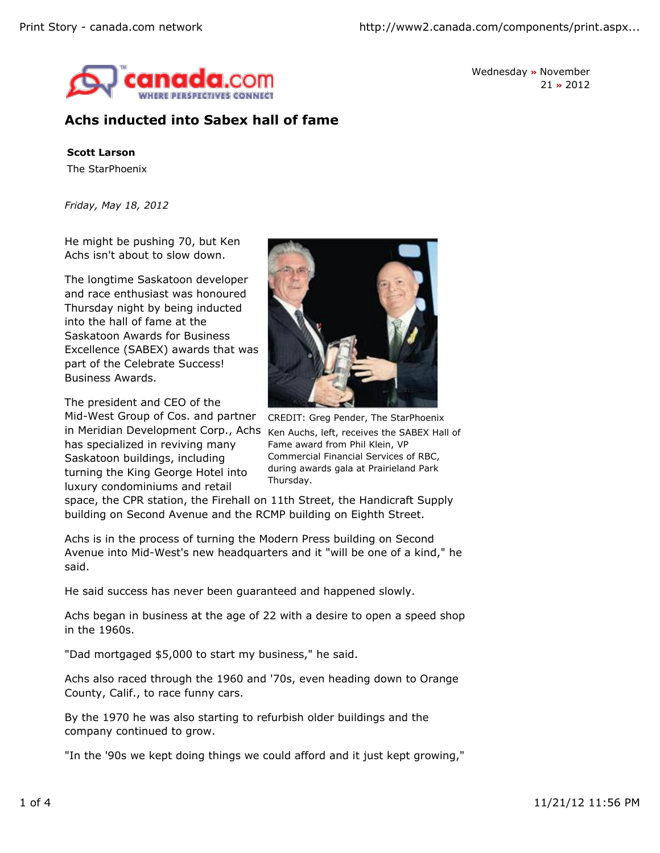

Wednesday **»** November 21 **»** 2012

## **Achs inducted into Sabex hall of fame**

**Scott Larson**

The StarPhoenix

*Friday, May 18, 2012*

He might be pushing 70, but Ken Achs isn't about to slow down.

The longtime Saskatoon developer and race enthusiast was honoured Thursday night by being inducted into the hall of fame at the Saskatoon Awards for Business Excellence (SABEX) awards that was part of the Celebrate Success! Business Awards.

The president and CEO of the

in Meridian Development Corp., Achs Ken Auchs, left, receives the SABEX Hall of Mid-West Group of Cos. and partner has specialized in reviving many Saskatoon buildings, including turning the King George Hotel into luxury condominiums and retail



CREDIT: Greg Pender, The StarPhoenix Fame award from Phil Klein, VP Commercial Financial Services of RBC, during awards gala at Prairieland Park Thursday.

space, the CPR station, the Firehall on 11th Street, the Handicraft Supply building on Second Avenue and the RCMP building on Eighth Street.

Achs is in the process of turning the Modern Press building on Second Avenue into Mid-West's new headquarters and it "will be one of a kind," he said.

He said success has never been guaranteed and happened slowly.

Achs began in business at the age of 22 with a desire to open a speed shop in the 1960s.

"Dad mortgaged \$5,000 to start my business," he said.

Achs also raced through the 1960 and '70s, even heading down to Orange County, Calif., to race funny cars.

By the 1970 he was also starting to refurbish older buildings and the company continued to grow.

"In the '90s we kept doing things we could afford and it just kept growing,"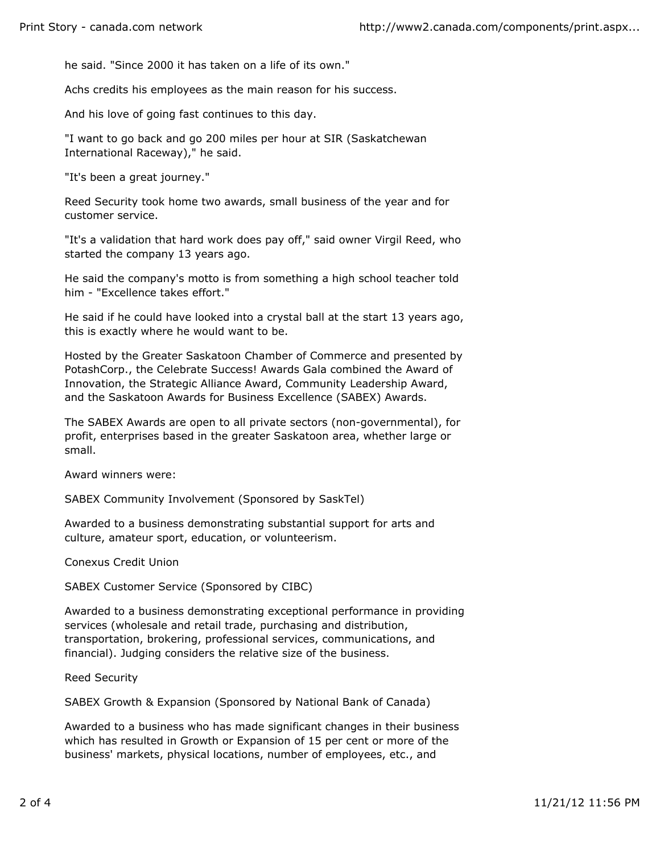he said. "Since 2000 it has taken on a life of its own."

Achs credits his employees as the main reason for his success.

And his love of going fast continues to this day.

"I want to go back and go 200 miles per hour at SIR (Saskatchewan International Raceway)," he said.

"It's been a great journey."

Reed Security took home two awards, small business of the year and for customer service.

"It's a validation that hard work does pay off," said owner Virgil Reed, who started the company 13 years ago.

He said the company's motto is from something a high school teacher told him - "Excellence takes effort."

He said if he could have looked into a crystal ball at the start 13 years ago, this is exactly where he would want to be.

Hosted by the Greater Saskatoon Chamber of Commerce and presented by PotashCorp., the Celebrate Success! Awards Gala combined the Award of Innovation, the Strategic Alliance Award, Community Leadership Award, and the Saskatoon Awards for Business Excellence (SABEX) Awards.

The SABEX Awards are open to all private sectors (non-governmental), for profit, enterprises based in the greater Saskatoon area, whether large or small.

Award winners were:

SABEX Community Involvement (Sponsored by SaskTel)

Awarded to a business demonstrating substantial support for arts and culture, amateur sport, education, or volunteerism.

Conexus Credit Union

SABEX Customer Service (Sponsored by CIBC)

Awarded to a business demonstrating exceptional performance in providing services (wholesale and retail trade, purchasing and distribution, transportation, brokering, professional services, communications, and financial). Judging considers the relative size of the business.

Reed Security

SABEX Growth & Expansion (Sponsored by National Bank of Canada)

Awarded to a business who has made significant changes in their business which has resulted in Growth or Expansion of 15 per cent or more of the business' markets, physical locations, number of employees, etc., and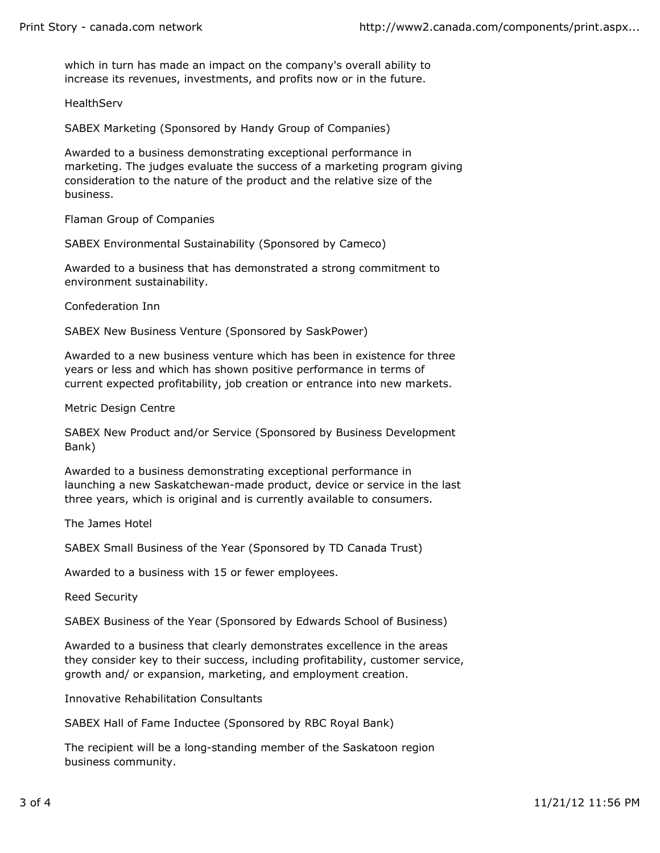which in turn has made an impact on the company's overall ability to increase its revenues, investments, and profits now or in the future.

**HealthServ** 

SABEX Marketing (Sponsored by Handy Group of Companies)

Awarded to a business demonstrating exceptional performance in marketing. The judges evaluate the success of a marketing program giving consideration to the nature of the product and the relative size of the business.

Flaman Group of Companies

SABEX Environmental Sustainability (Sponsored by Cameco)

Awarded to a business that has demonstrated a strong commitment to environment sustainability.

Confederation Inn

SABEX New Business Venture (Sponsored by SaskPower)

Awarded to a new business venture which has been in existence for three years or less and which has shown positive performance in terms of current expected profitability, job creation or entrance into new markets.

Metric Design Centre

SABEX New Product and/or Service (Sponsored by Business Development Bank)

Awarded to a business demonstrating exceptional performance in launching a new Saskatchewan-made product, device or service in the last three years, which is original and is currently available to consumers.

The James Hotel

SABEX Small Business of the Year (Sponsored by TD Canada Trust)

Awarded to a business with 15 or fewer employees.

Reed Security

SABEX Business of the Year (Sponsored by Edwards School of Business)

Awarded to a business that clearly demonstrates excellence in the areas they consider key to their success, including profitability, customer service, growth and/ or expansion, marketing, and employment creation.

Innovative Rehabilitation Consultants

SABEX Hall of Fame Inductee (Sponsored by RBC Royal Bank)

The recipient will be a long-standing member of the Saskatoon region business community.